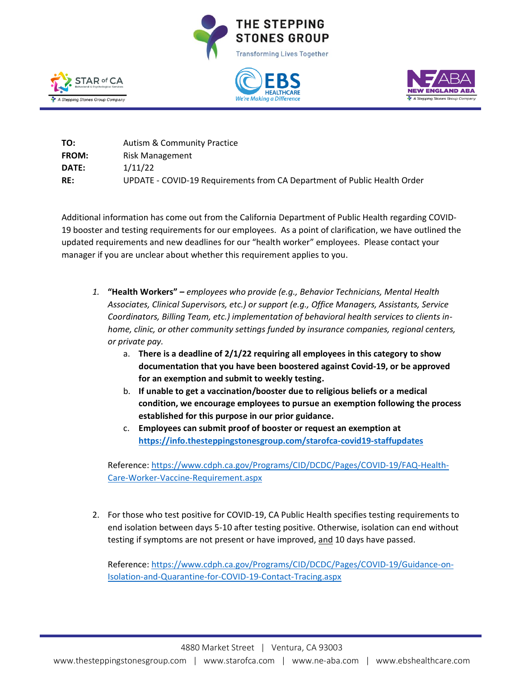







| TO:          | <b>Autism &amp; Community Practice</b>                                   |
|--------------|--------------------------------------------------------------------------|
| <b>FROM:</b> | Risk Management                                                          |
| DATE:        | 1/11/22                                                                  |
| RE:          | UPDATE - COVID-19 Requirements from CA Department of Public Health Order |

Additional information has come out from the California Department of Public Health regarding COVID-19 booster and testing requirements for our employees. As a point of clarification, we have outlined the updated requirements and new deadlines for our "health worker" employees. Please contact your manager if you are unclear about whether this requirement applies to you.

- *1.* **"Health Workers" –** *employees who provide (e.g., Behavior Technicians, Mental Health Associates, Clinical Supervisors, etc.) or support (e.g., Office Managers, Assistants, Service Coordinators, Billing Team, etc.) implementation of behavioral health services to clients inhome, clinic, or other community settings funded by insurance companies, regional centers, or private pay.* 
	- a. **There is a deadline of 2/1/22 requiring all employees in this category to show documentation that you have been boostered against Covid-19, or be approved for an exemption and submit to weekly testing.**
	- b. **If unable to get a vaccination/booster due to religious beliefs or a medical condition, we encourage employees to pursue an exemption following the process established for this purpose in our prior guidance.**
	- c. **Employees can submit proof of booster or request an exemption at <https://info.thesteppingstonesgroup.com/starofca-covid19-staffupdates>**

Reference: [https://www.cdph.ca.gov/Programs/CID/DCDC/Pages/COVID-19/FAQ-Health-](https://www.cdph.ca.gov/Programs/CID/DCDC/Pages/COVID-19/FAQ-Health-Care-Worker-Vaccine-Requirement.aspx)[Care-Worker-Vaccine-Requirement.aspx](https://www.cdph.ca.gov/Programs/CID/DCDC/Pages/COVID-19/FAQ-Health-Care-Worker-Vaccine-Requirement.aspx)

2. For those who test positive for COVID-19, CA Public Health specifies testing requirements to end isolation between days 5-10 after testing positive. Otherwise, isolation can end without testing if symptoms are not present or have improved, and 10 days have passed.

Reference: [https://www.cdph.ca.gov/Programs/CID/DCDC/Pages/COVID-19/Guidance-on-](https://www.cdph.ca.gov/Programs/CID/DCDC/Pages/COVID-19/Guidance-on-Isolation-and-Quarantine-for-COVID-19-Contact-Tracing.aspx)[Isolation-and-Quarantine-for-COVID-19-Contact-Tracing.aspx](https://www.cdph.ca.gov/Programs/CID/DCDC/Pages/COVID-19/Guidance-on-Isolation-and-Quarantine-for-COVID-19-Contact-Tracing.aspx)